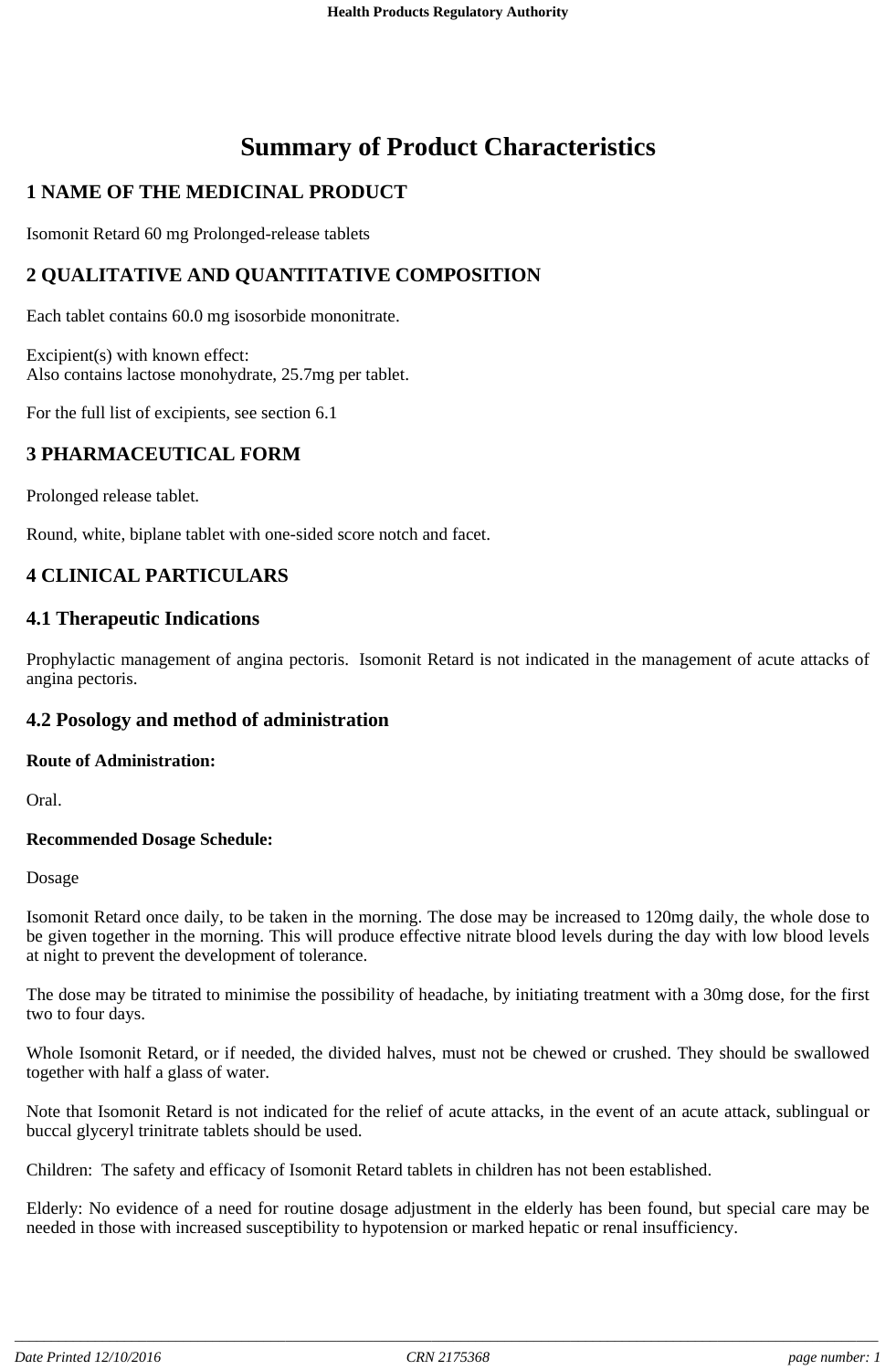# **Summary of Product Characteristics**

## **1 NAME OF THE MEDICINAL PRODUCT**

Isomonit Retard 60 mg Prolonged-release tablets

## **2 QUALITATIVE AND QUANTITATIVE COMPOSITION**

Each tablet contains 60.0 mg isosorbide mononitrate.

Excipient(s) with known effect: Also contains lactose monohydrate, 25.7mg per tablet.

For the full list of excipients, see section 6.1

## **3 PHARMACEUTICAL FORM**

Prolonged release tablet.

Round, white, biplane tablet with one-sided score notch and facet.

## **4 CLINICAL PARTICULARS**

#### **4.1 Therapeutic Indications**

Prophylactic management of angina pectoris. Isomonit Retard is not indicated in the management of acute attacks of angina pectoris.

## **4.2 Posology and method of administration**

#### **Route of Administration:**

Oral.

#### **Recommended Dosage Schedule:**

Dosage

Isomonit Retard once daily, to be taken in the morning. The dose may be increased to 120mg daily, the whole dose to be given together in the morning. This will produce effective nitrate blood levels during the day with low blood levels at night to prevent the development of tolerance.

The dose may be titrated to minimise the possibility of headache, by initiating treatment with a 30mg dose, for the first two to four days.

Whole Isomonit Retard, or if needed, the divided halves, must not be chewed or crushed. They should be swallowed together with half a glass of water.

Note that Isomonit Retard is not indicated for the relief of acute attacks, in the event of an acute attack, sublingual or buccal glyceryl trinitrate tablets should be used.

Children: The safety and efficacy of Isomonit Retard tablets in children has not been established.

Elderly: No evidence of a need for routine dosage adjustment in the elderly has been found, but special care may be needed in those with increased susceptibility to hypotension or marked hepatic or renal insufficiency.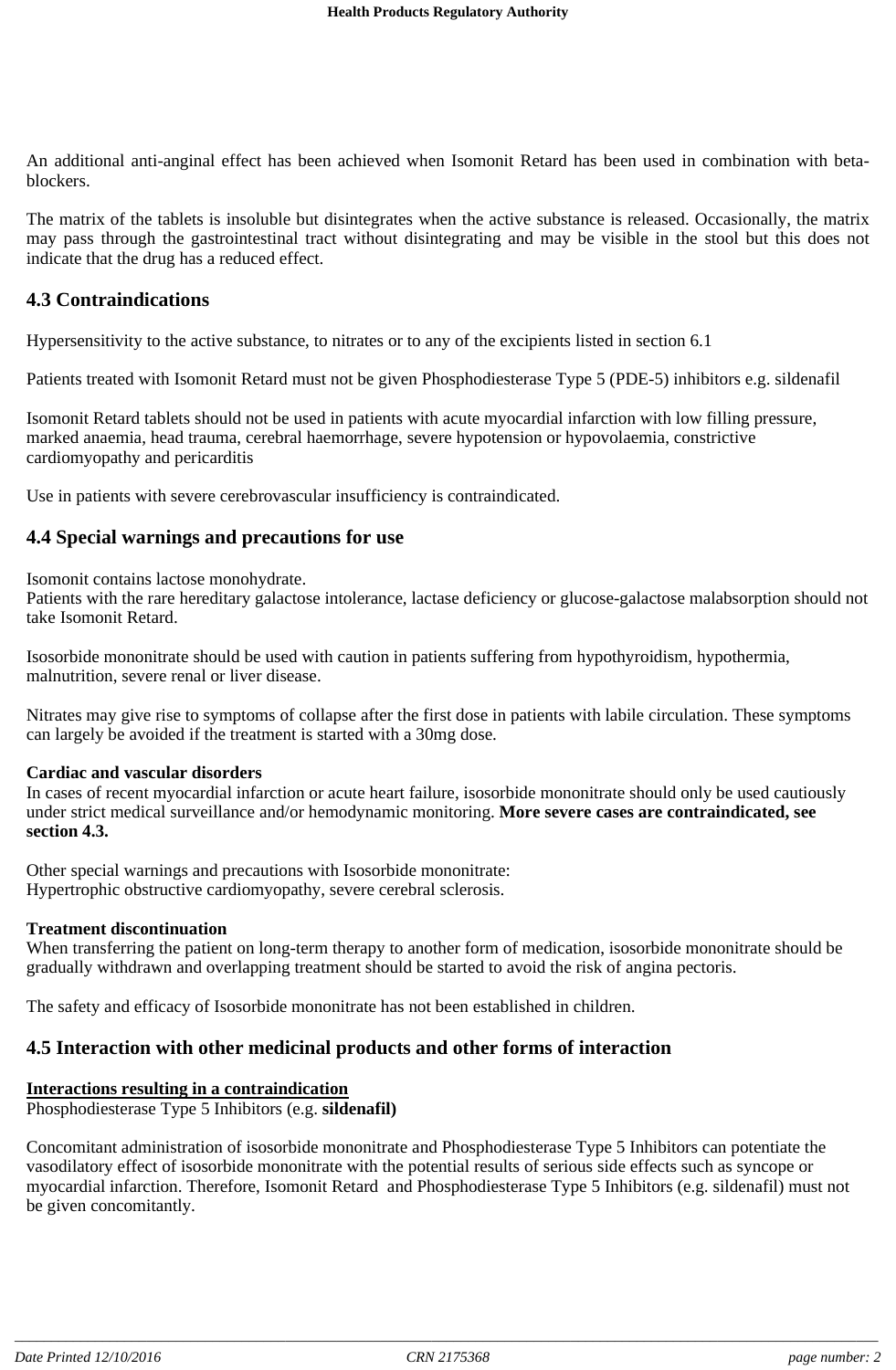An additional anti-anginal effect has been achieved when Isomonit Retard has been used in combination with betablockers.

The matrix of the tablets is insoluble but disintegrates when the active substance is released. Occasionally, the matrix may pass through the gastrointestinal tract without disintegrating and may be visible in the stool but this does not indicate that the drug has a reduced effect.

## **4.3 Contraindications**

Hypersensitivity to the active substance, to nitrates or to any of the excipients listed in section 6.1

Patients treated with Isomonit Retard must not be given Phosphodiesterase Type 5 (PDE-5) inhibitors e.g. sildenafil

Isomonit Retard tablets should not be used in patients with acute myocardial infarction with low filling pressure, marked anaemia, head trauma, cerebral haemorrhage, severe hypotension or hypovolaemia, constrictive cardiomyopathy and pericarditis

Use in patients with severe cerebrovascular insufficiency is contraindicated.

#### **4.4 Special warnings and precautions for use**

Isomonit contains lactose monohydrate.

Patients with the rare hereditary galactose intolerance, lactase deficiency or glucose-galactose malabsorption should not take Isomonit Retard.

Isosorbide mononitrate should be used with caution in patients suffering from hypothyroidism, hypothermia, malnutrition, severe renal or liver disease.

Nitrates may give rise to symptoms of collapse after the first dose in patients with labile circulation. These symptoms can largely be avoided if the treatment is started with a 30mg dose.

#### **Cardiac and vascular disorders**

In cases of recent myocardial infarction or acute heart failure, isosorbide mononitrate should only be used cautiously under strict medical surveillance and/or hemodynamic monitoring. **More severe cases are contraindicated, see section 4.3.**

Other special warnings and precautions with Isosorbide mononitrate: Hypertrophic obstructive cardiomyopathy, severe cerebral sclerosis.

#### **Treatment discontinuation**

When transferring the patient on long-term therapy to another form of medication, isosorbide mononitrate should be gradually withdrawn and overlapping treatment should be started to avoid the risk of angina pectoris.

The safety and efficacy of Isosorbide mononitrate has not been established in children.

## **4.5 Interaction with other medicinal products and other forms of interaction**

#### **Interactions resulting in a contraindication**

Phosphodiesterase Type 5 Inhibitors (e.g. **sildenafil)**

Concomitant administration of isosorbide mononitrate and Phosphodiesterase Type 5 Inhibitors can potentiate the vasodilatory effect of isosorbide mononitrate with the potential results of serious side effects such as syncope or myocardial infarction. Therefore, Isomonit Retard and Phosphodiesterase Type 5 Inhibitors (e.g. sildenafil) must not be given concomitantly.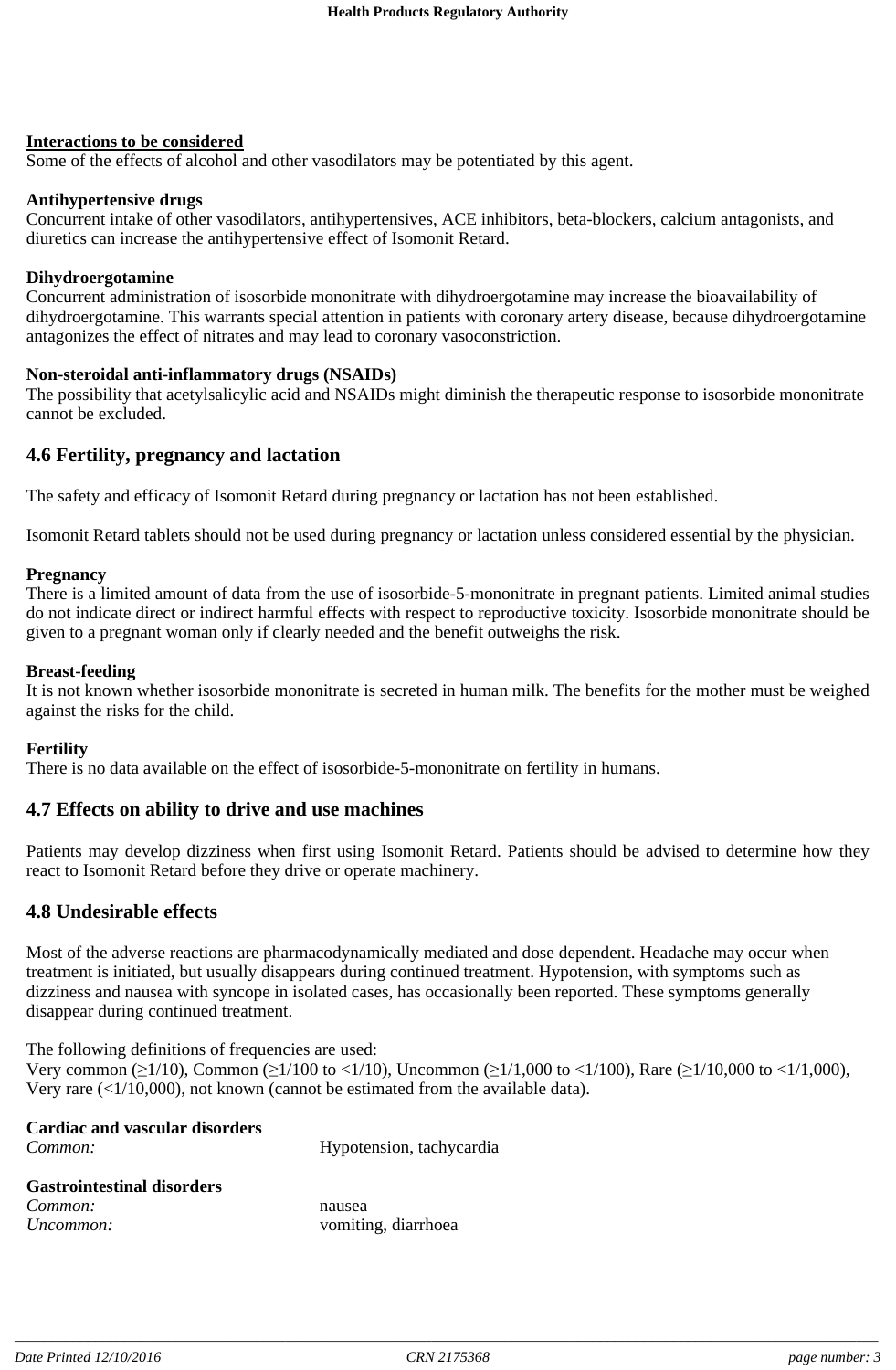#### **Interactions to be considered**

Some of the effects of alcohol and other vasodilators may be potentiated by this agent.

#### **Antihypertensive drugs**

Concurrent intake of other vasodilators, antihypertensives, ACE inhibitors, beta-blockers, calcium antagonists, and diuretics can increase the antihypertensive effect of Isomonit Retard.

#### **Dihydroergotamine**

Concurrent administration of isosorbide mononitrate with dihydroergotamine may increase the bioavailability of dihydroergotamine. This warrants special attention in patients with coronary artery disease, because dihydroergotamine antagonizes the effect of nitrates and may lead to coronary vasoconstriction.

#### **Non-steroidal anti-inflammatory drugs (NSAIDs)**

The possibility that acetylsalicylic acid and NSAIDs might diminish the therapeutic response to isosorbide mononitrate cannot be excluded.

#### **4.6 Fertility, pregnancy and lactation**

The safety and efficacy of Isomonit Retard during pregnancy or lactation has not been established.

Isomonit Retard tablets should not be used during pregnancy or lactation unless considered essential by the physician.

#### **Pregnancy**

There is a limited amount of data from the use of isosorbide-5-mononitrate in pregnant patients. Limited animal studies do not indicate direct or indirect harmful effects with respect to reproductive toxicity. Isosorbide mononitrate should be given to a pregnant woman only if clearly needed and the benefit outweighs the risk.

#### **Breast-feeding**

It is not known whether isosorbide mononitrate is secreted in human milk. The benefits for the mother must be weighed against the risks for the child.

#### **Fertility**

There is no data available on the effect of isosorbide-5-mononitrate on fertility in humans.

## **4.7 Effects on ability to drive and use machines**

Patients may develop dizziness when first using Isomonit Retard. Patients should be advised to determine how they react to Isomonit Retard before they drive or operate machinery.

## **4.8 Undesirable effects**

Most of the adverse reactions are pharmacodynamically mediated and dose dependent. Headache may occur when treatment is initiated, but usually disappears during continued treatment. Hypotension, with symptoms such as dizziness and nausea with syncope in isolated cases, has occasionally been reported. These symptoms generally disappear during continued treatment.

The following definitions of frequencies are used: Very common ( $\geq 1/10$ ), Common ( $\geq 1/100$  to <1/10), Uncommon ( $\geq 1/1,000$  to <1/100), Rare ( $\geq 1/10,000$  to <1/1,000), Very rare (<1/10,000), not known (cannot be estimated from the available data).

| <b>Cardiac and vascular disorders</b> |                          |
|---------------------------------------|--------------------------|
| Common:                               | Hypotension, tachycardia |
|                                       |                          |
| <b>Gastrointestinal disorders</b>     |                          |
| Common:                               | nausea                   |

*Uncommon:* vomiting, diarrhoea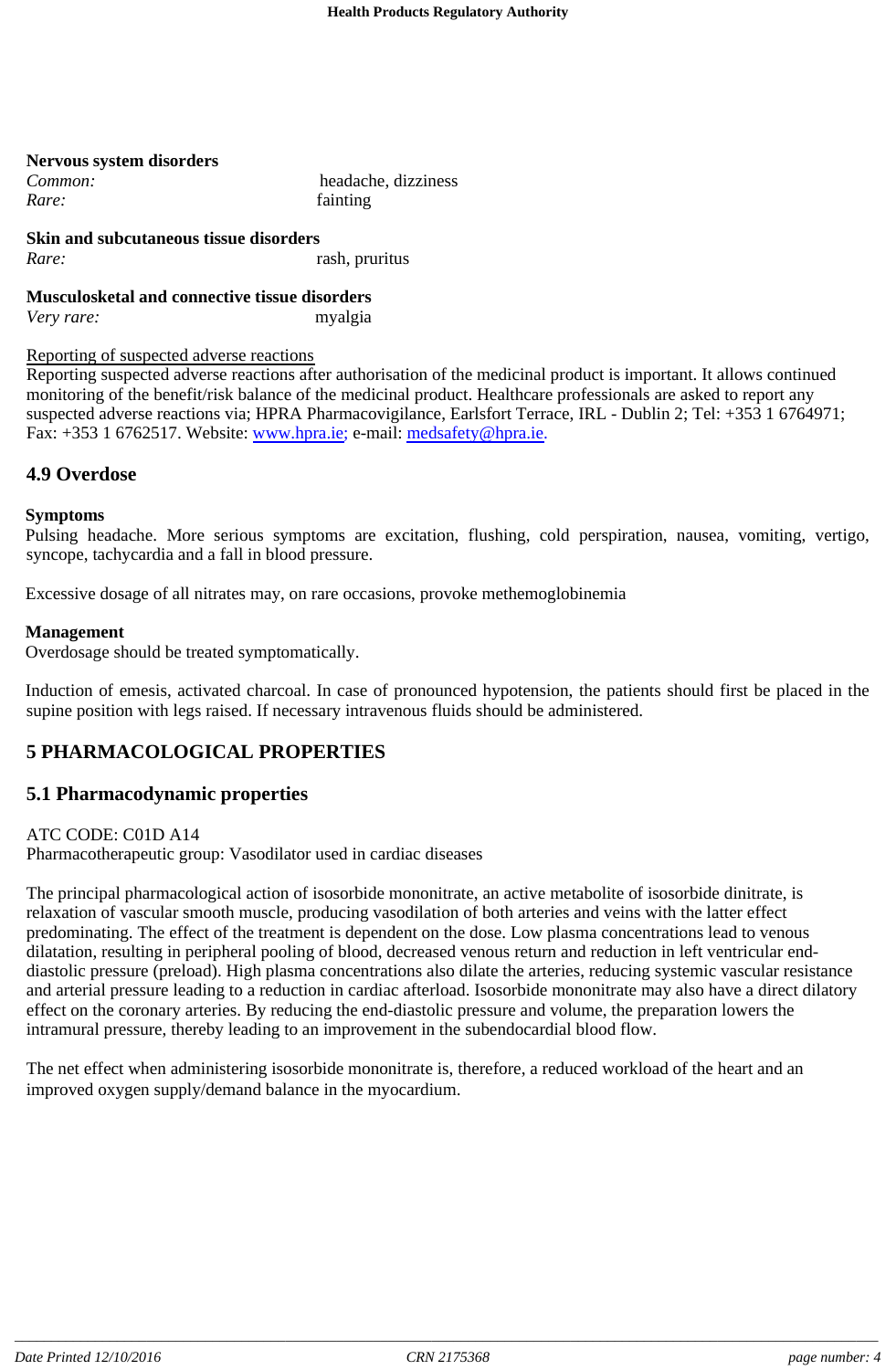| <b>Nervous system disorders</b> |                     |
|---------------------------------|---------------------|
| Common:                         | headache, dizziness |
| Rare:                           | fainting            |

**Skin and subcutaneous tissue disorders** *Rare:* rash, pruritus

**Musculosketal and connective tissue disorders** *Very rare:* myalgia

#### Reporting of suspected adverse reactions

Reporting suspected adverse reactions after authorisation of the medicinal product is important. It allows continued monitoring of the benefit/risk balance of the medicinal product. Healthcare professionals are asked to report any suspected adverse reactions via; HPRA Pharmacovigilance, Earlsfort Terrace, IRL - Dublin 2; Tel: +353 1 6764971; Fax: +353 1 6762517. Website: www.hpra.ie; e-mail: medsafety@hpra.ie.

## **4.9 Overdose**

#### **Symptoms**

Pulsing headache. More serious symptoms are excitation, flushing, cold perspiration, nausea, vomiting, vertigo, syncope, tachycardia and a fall in blood pressure.

Excessive dosage of all nitrates may, on rare occasions, provoke methemoglobinemia

#### **Management**

Overdosage should be treated symptomatically.

Induction of emesis, activated charcoal. In case of pronounced hypotension, the patients should first be placed in the supine position with legs raised. If necessary intravenous fluids should be administered.

## **5 PHARMACOLOGICAL PROPERTIES**

## **5.1 Pharmacodynamic properties**

ATC CODE: C01D A14

Pharmacotherapeutic group: Vasodilator used in cardiac diseases

The principal pharmacological action of isosorbide mononitrate, an active metabolite of isosorbide dinitrate, is relaxation of vascular smooth muscle, producing vasodilation of both arteries and veins with the latter effect predominating. The effect of the treatment is dependent on the dose. Low plasma concentrations lead to venous dilatation, resulting in peripheral pooling of blood, decreased venous return and reduction in left ventricular enddiastolic pressure (preload). High plasma concentrations also dilate the arteries, reducing systemic vascular resistance and arterial pressure leading to a reduction in cardiac afterload. Isosorbide mononitrate may also have a direct dilatory effect on the coronary arteries. By reducing the end-diastolic pressure and volume, the preparation lowers the intramural pressure, thereby leading to an improvement in the subendocardial blood flow.

The net effect when administering isosorbide mononitrate is, therefore, a reduced workload of the heart and an improved oxygen supply/demand balance in the myocardium.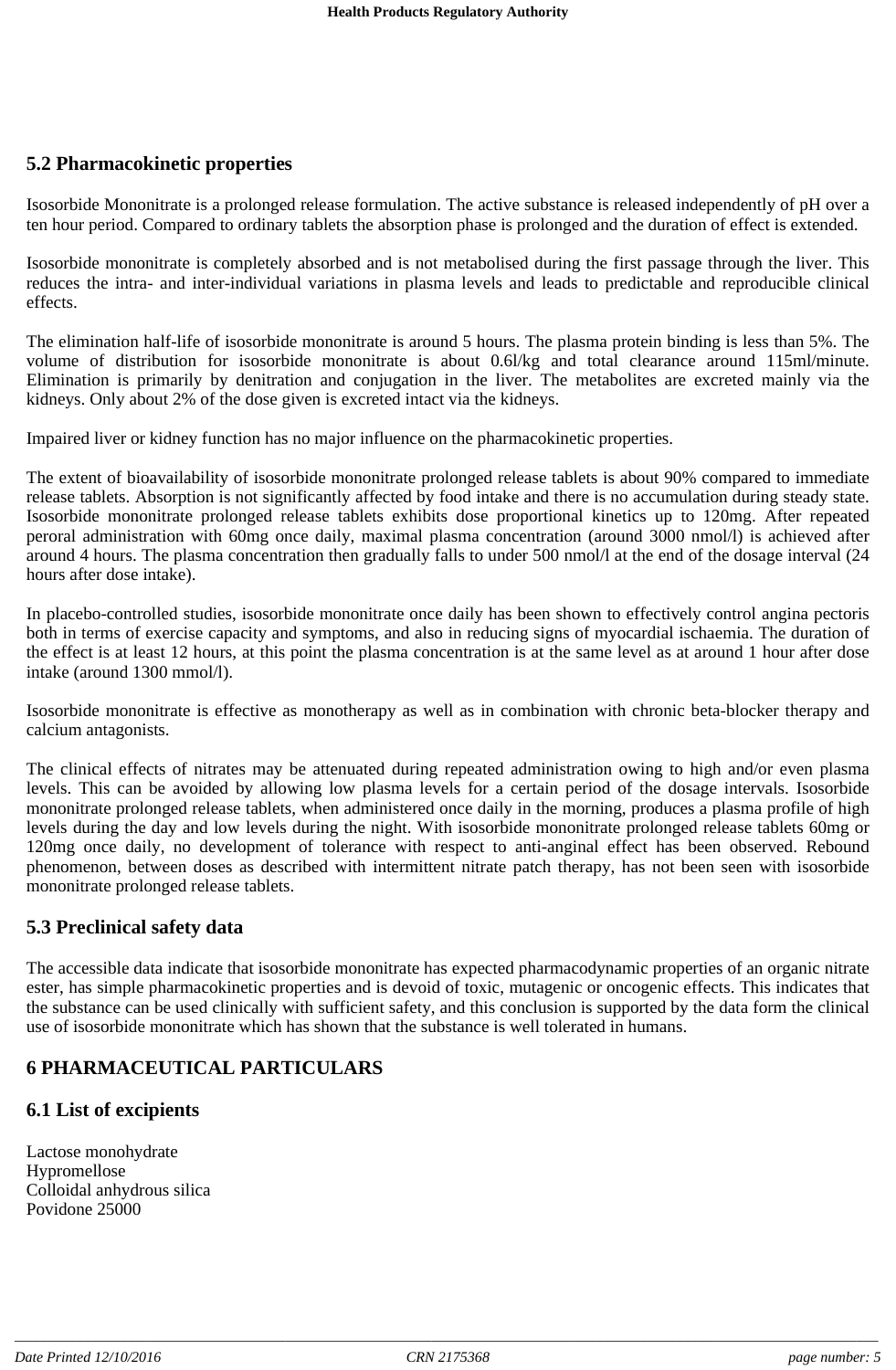## **5.2 Pharmacokinetic properties**

Isosorbide Mononitrate is a prolonged release formulation. The active substance is released independently of pH over a ten hour period. Compared to ordinary tablets the absorption phase is prolonged and the duration of effect is extended.

Isosorbide mononitrate is completely absorbed and is not metabolised during the first passage through the liver. This reduces the intra- and inter-individual variations in plasma levels and leads to predictable and reproducible clinical effects.

The elimination half-life of isosorbide mononitrate is around 5 hours. The plasma protein binding is less than 5%. The volume of distribution for isosorbide mononitrate is about 0.6l/kg and total clearance around 115ml/minute. Elimination is primarily by denitration and conjugation in the liver. The metabolites are excreted mainly via the kidneys. Only about 2% of the dose given is excreted intact via the kidneys.

Impaired liver or kidney function has no major influence on the pharmacokinetic properties.

The extent of bioavailability of isosorbide mononitrate prolonged release tablets is about 90% compared to immediate release tablets. Absorption is not significantly affected by food intake and there is no accumulation during steady state. Isosorbide mononitrate prolonged release tablets exhibits dose proportional kinetics up to 120mg. After repeated peroral administration with 60mg once daily, maximal plasma concentration (around 3000 nmol/l) is achieved after around 4 hours. The plasma concentration then gradually falls to under 500 nmol/l at the end of the dosage interval (24 hours after dose intake).

In placebo-controlled studies, isosorbide mononitrate once daily has been shown to effectively control angina pectoris both in terms of exercise capacity and symptoms, and also in reducing signs of myocardial ischaemia. The duration of the effect is at least 12 hours, at this point the plasma concentration is at the same level as at around 1 hour after dose intake (around 1300 mmol/l).

Isosorbide mononitrate is effective as monotherapy as well as in combination with chronic beta-blocker therapy and calcium antagonists.

The clinical effects of nitrates may be attenuated during repeated administration owing to high and/or even plasma levels. This can be avoided by allowing low plasma levels for a certain period of the dosage intervals. Isosorbide mononitrate prolonged release tablets, when administered once daily in the morning, produces a plasma profile of high levels during the day and low levels during the night. With isosorbide mononitrate prolonged release tablets 60mg or 120mg once daily, no development of tolerance with respect to anti-anginal effect has been observed. Rebound phenomenon, between doses as described with intermittent nitrate patch therapy, has not been seen with isosorbide mononitrate prolonged release tablets.

## **5.3 Preclinical safety data**

The accessible data indicate that isosorbide mononitrate has expected pharmacodynamic properties of an organic nitrate ester, has simple pharmacokinetic properties and is devoid of toxic, mutagenic or oncogenic effects. This indicates that the substance can be used clinically with sufficient safety, and this conclusion is supported by the data form the clinical use of isosorbide mononitrate which has shown that the substance is well tolerated in humans.

## **6 PHARMACEUTICAL PARTICULARS**

## **6.1 List of excipients**

Lactose monohydrate Hypromellose Colloidal anhydrous silica Povidone 25000